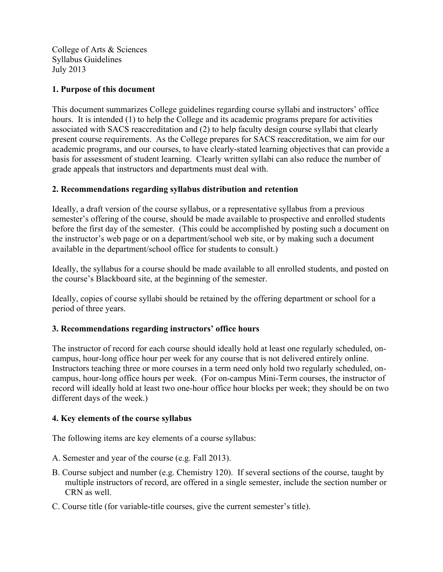College of Arts & Sciences Syllabus Guidelines July 2013

### **1. Purpose of this document**

This document summarizes College guidelines regarding course syllabi and instructors' office hours. It is intended (1) to help the College and its academic programs prepare for activities associated with SACS reaccreditation and (2) to help faculty design course syllabi that clearly present course requirements. As the College prepares for SACS reaccreditation, we aim for our academic programs, and our courses, to have clearly-stated learning objectives that can provide a basis for assessment of student learning. Clearly written syllabi can also reduce the number of grade appeals that instructors and departments must deal with.

### **2. Recommendations regarding syllabus distribution and retention**

Ideally, a draft version of the course syllabus, or a representative syllabus from a previous semester's offering of the course, should be made available to prospective and enrolled students before the first day of the semester. (This could be accomplished by posting such a document on the instructor's web page or on a department/school web site, or by making such a document available in the department/school office for students to consult.)

Ideally, the syllabus for a course should be made available to all enrolled students, and posted on the course's Blackboard site, at the beginning of the semester.

Ideally, copies of course syllabi should be retained by the offering department or school for a period of three years.

# **3. Recommendations regarding instructors' office hours**

The instructor of record for each course should ideally hold at least one regularly scheduled, oncampus, hour-long office hour per week for any course that is not delivered entirely online. Instructors teaching three or more courses in a term need only hold two regularly scheduled, oncampus, hour-long office hours per week. (For on-campus Mini-Term courses, the instructor of record will ideally hold at least two one-hour office hour blocks per week; they should be on two different days of the week.)

#### **4. Key elements of the course syllabus**

The following items are key elements of a course syllabus:

- A. Semester and year of the course (e.g. Fall 2013).
- B. Course subject and number (e.g. Chemistry 120). If several sections of the course, taught by multiple instructors of record, are offered in a single semester, include the section number or CRN as well.
- C. Course title (for variable-title courses, give the current semester's title).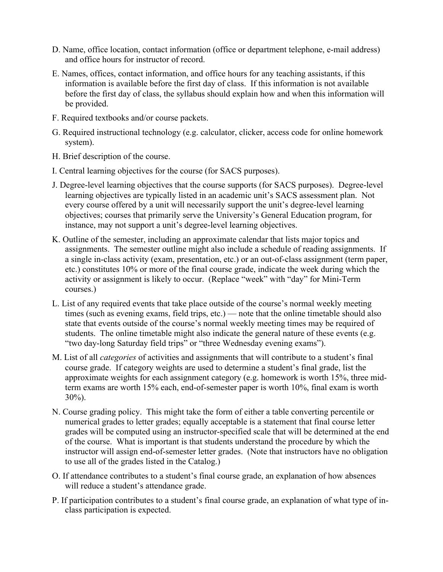- D. Name, office location, contact information (office or department telephone, e-mail address) and office hours for instructor of record.
- E. Names, offices, contact information, and office hours for any teaching assistants, if this information is available before the first day of class. If this information is not available before the first day of class, the syllabus should explain how and when this information will be provided.
- F. Required textbooks and/or course packets.
- G. Required instructional technology (e.g. calculator, clicker, access code for online homework system).
- H. Brief description of the course.
- I. Central learning objectives for the course (for SACS purposes).
- J. Degree-level learning objectives that the course supports (for SACS purposes). Degree-level learning objectives are typically listed in an academic unit's SACS assessment plan. Not every course offered by a unit will necessarily support the unit's degree-level learning objectives; courses that primarily serve the University's General Education program, for instance, may not support a unit's degree-level learning objectives.
- K. Outline of the semester, including an approximate calendar that lists major topics and assignments. The semester outline might also include a schedule of reading assignments. If a single in-class activity (exam, presentation, etc.) or an out-of-class assignment (term paper, etc.) constitutes 10% or more of the final course grade, indicate the week during which the activity or assignment is likely to occur. (Replace "week" with "day" for Mini-Term courses.)
- L. List of any required events that take place outside of the course's normal weekly meeting times (such as evening exams, field trips, etc.) — note that the online timetable should also state that events outside of the course's normal weekly meeting times may be required of students. The online timetable might also indicate the general nature of these events (e.g. "two day-long Saturday field trips" or "three Wednesday evening exams").
- M. List of all *categories* of activities and assignments that will contribute to a student's final course grade. If category weights are used to determine a student's final grade, list the approximate weights for each assignment category (e.g. homework is worth 15%, three midterm exams are worth 15% each, end-of-semester paper is worth 10%, final exam is worth  $30\%$ ).
- N. Course grading policy. This might take the form of either a table converting percentile or numerical grades to letter grades; equally acceptable is a statement that final course letter grades will be computed using an instructor-specified scale that will be determined at the end of the course. What is important is that students understand the procedure by which the instructor will assign end-of-semester letter grades. (Note that instructors have no obligation to use all of the grades listed in the Catalog.)
- O. If attendance contributes to a student's final course grade, an explanation of how absences will reduce a student's attendance grade.
- P. If participation contributes to a student's final course grade, an explanation of what type of inclass participation is expected.